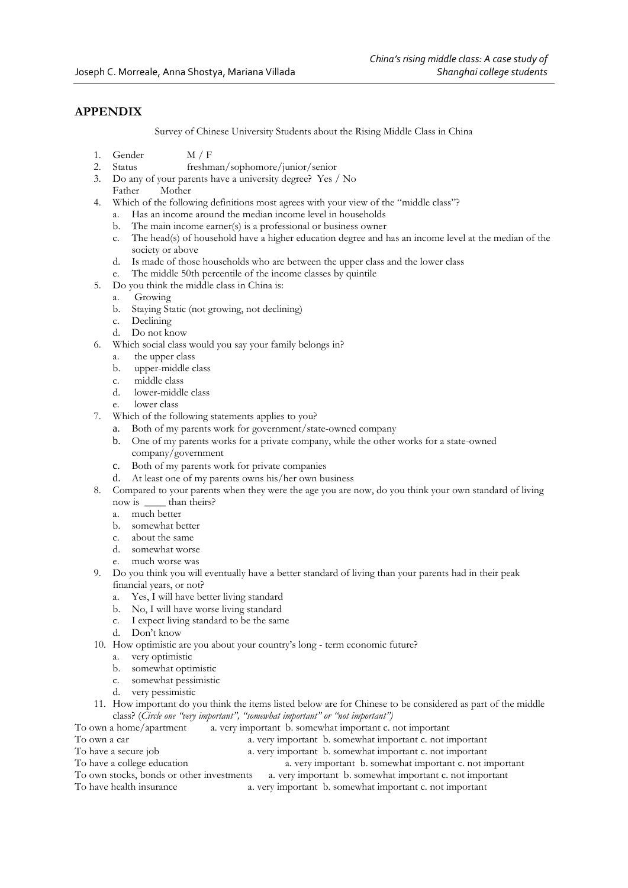## **APPENDIX**

Survey of Chinese University Students about the Rising Middle Class in China

- 1. Gender M / F
- 2. Status freshman/sophomore/junior/senior
- 3. Do any of your parents have a university degree? Yes / No
- Father Mother
- 4. Which of the following definitions most agrees with your view of the "middle class"?
	- a. Has an income around the median income level in households
		- b. The main income earner(s) is a professional or business owner
		- c. The head(s) of household have a higher education degree and has an income level at the median of the society or above
		- d. Is made of those households who are between the upper class and the lower class
		- e. The middle 50th percentile of the income classes by quintile
- 5. Do you think the middle class in China is:
	- a. Growing
	- b. Staying Static (not growing, not declining)
	- c. Declining
	- d. Do not know
- 6. Which social class would you say your family belongs in?
	- a. the upper class
	- b. upper-middle class
	- c. middle class
	- d. lower-middle class
	- e. lower class
- 7. Which of the following statements applies to you?
	- a. Both of my parents work for government/state-owned company
	- b. One of my parents works for a private company, while the other works for a state-owned company/government
	- c. Both of my parents work for private companies
	- d. At least one of my parents owns his/her own business
- 8. Compared to your parents when they were the age you are now, do you think your own standard of living now is \_\_\_\_ than theirs?
	- a. much better
	- b. somewhat better
	- c. about the same
	- d. somewhat worse
	- e. much worse was
- 9. Do you think you will eventually have a better standard of living than your parents had in their peak financial years, or not?
	- a. Yes, I will have better living standard
	- b. No, I will have worse living standard
	- c. I expect living standard to be the same
	- d. Don't know
- 10. How optimistic are you about your country's long term economic future?
	- a. very optimistic
	- b. somewhat optimistic
	- c. somewhat pessimistic
	- d. very pessimistic
- 11. How important do you think the items listed below are for Chinese to be considered as part of the middle class? (*Circle one "very important", "somewhat important" or "not important")*
- To own a home/apartment a. very important b. somewhat important c. not important
- To own a car a. very important b. somewhat important c. not important
- 
- 
- To have a college education a. very important b. somewhat important c. not important
- 
- To own stocks, bonds or other investments a. very important b. somewhat important c. not important
- 
- To have health insurance a. very important b. somewhat important c. not important

To have a secure job a. very important b. somewhat important c. not important